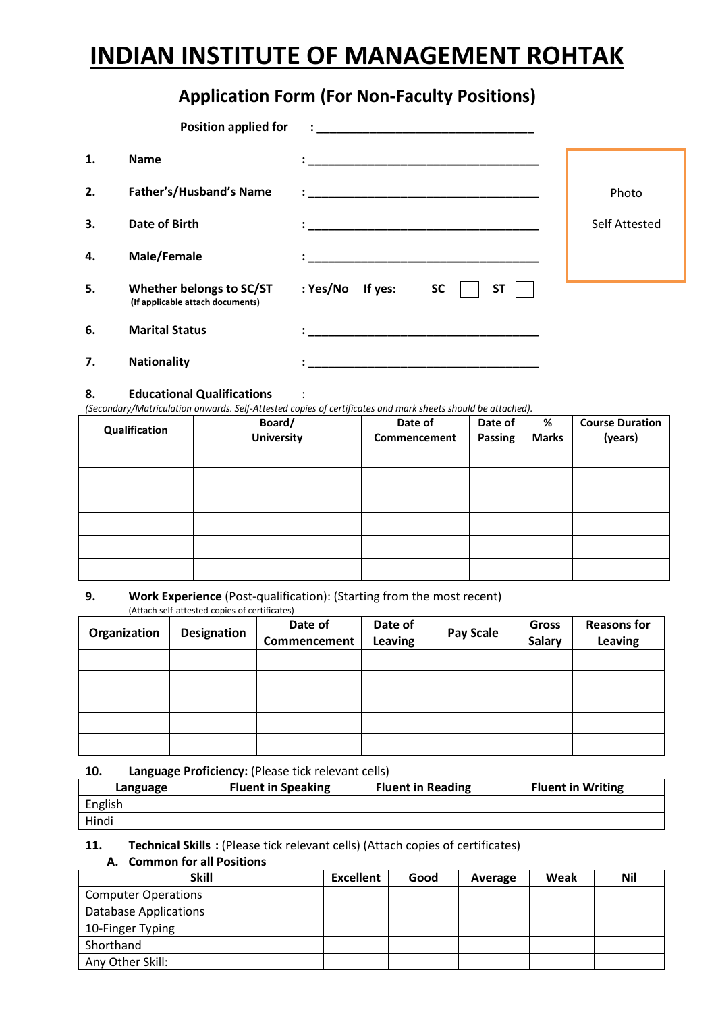# **INDIAN INSTITUTE OF MANAGEMENT ROHTAK**

# **Application Form (For Non-Faculty Positions)**

|    | <b>Position applied for</b>                                  |                                               |                      |
|----|--------------------------------------------------------------|-----------------------------------------------|----------------------|
| 1. | <b>Name</b>                                                  |                                               |                      |
| 2. | Father's/Husband's Name                                      |                                               | Photo                |
| 3. | Date of Birth                                                |                                               | <b>Self Attested</b> |
| 4. | Male/Female                                                  |                                               |                      |
| 5. | Whether belongs to SC/ST<br>(If applicable attach documents) | : Yes/No<br>If yes:<br><b>SC</b><br><b>ST</b> |                      |
| 6. | <b>Marital Status</b>                                        |                                               |                      |
| 7. | <b>Nationality</b>                                           |                                               |                      |

# **8. Educational Qualifications** :

*(Secondary/Matriculation onwards. Self-Attested copies of certificates and mark sheets should be attached).*

| Qualification | Board/<br><b>University</b> | Date of<br>Commencement | Date of<br>Passing | %<br><b>Marks</b> | <b>Course Duration</b><br>(years) |
|---------------|-----------------------------|-------------------------|--------------------|-------------------|-----------------------------------|
|               |                             |                         |                    |                   |                                   |
|               |                             |                         |                    |                   |                                   |
|               |                             |                         |                    |                   |                                   |
|               |                             |                         |                    |                   |                                   |
|               |                             |                         |                    |                   |                                   |
|               |                             |                         |                    |                   |                                   |

#### **9. Work Experience** (Post-qualification): (Starting from the most recent) (Attach self-attested copies of certificates)

| Organization | Designation | Date of<br>Commencement | Date of<br>Leaving | <b>Pay Scale</b> | Gross<br><b>Salary</b> | <b>Reasons for</b><br><b>Leaving</b> |
|--------------|-------------|-------------------------|--------------------|------------------|------------------------|--------------------------------------|
|              |             |                         |                    |                  |                        |                                      |
|              |             |                         |                    |                  |                        |                                      |
|              |             |                         |                    |                  |                        |                                      |
|              |             |                         |                    |                  |                        |                                      |
|              |             |                         |                    |                  |                        |                                      |

# **10. Language Proficiency:** (Please tick relevant cells)

| Language | <b>Fluent in Speaking</b> | <b>Fluent in Reading</b> | <b>Fluent in Writing</b> |  |  |
|----------|---------------------------|--------------------------|--------------------------|--|--|
| English  |                           |                          |                          |  |  |
| Hindi    |                           |                          |                          |  |  |

# **11.** Technical Skills : (Please tick relevant cells) (Attach copies of certificates)

**A. Common for all Positions**

| <b>Skill</b>                 | <b>Excellent</b> | Good | Average | Weak | <b>Nil</b> |
|------------------------------|------------------|------|---------|------|------------|
| <b>Computer Operations</b>   |                  |      |         |      |            |
| <b>Database Applications</b> |                  |      |         |      |            |
| 10-Finger Typing             |                  |      |         |      |            |
| Shorthand                    |                  |      |         |      |            |
| Any Other Skill:             |                  |      |         |      |            |